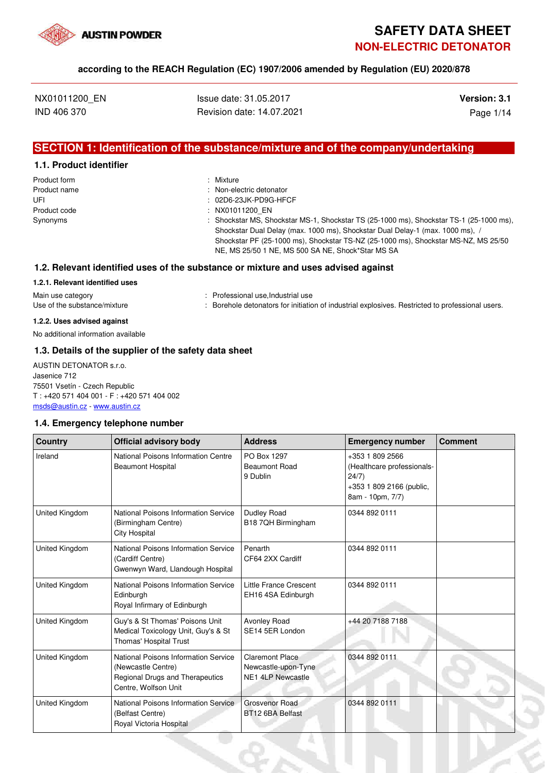

# **SAFETY DATA SHEET NON-ELECTRIC DETONATOR**

#### **according to the REACH Regulation (EC) 1907/2006 amended by Regulation (EU) 2020/878**

| NX01011200 EN |  |
|---------------|--|
| IND 406 370   |  |

**Issue date: 31.05.2017 Version: 3.1** Revision date: 14.07.2021 Page 1/14

### **SECTION 1: Identification of the substance/mixture and of the company/undertaking**

#### **1.1. Product identifier**

| Product form | : Mixture                                                                                                                                                                |
|--------------|--------------------------------------------------------------------------------------------------------------------------------------------------------------------------|
| Product name | : Non-electric detonator                                                                                                                                                 |
| UFI          | : 02D6-23JK-PD9G-HFCF                                                                                                                                                    |
| Product code | : NX01011200 EN                                                                                                                                                          |
| Synonyms     | : Shockstar MS, Shockstar MS-1, Shockstar TS (25-1000 ms), Shockstar TS-1 (25-1000 ms),<br>Shockstar Dual Delay (max. 1000 ms), Shockstar Dual Delay-1 (max. 1000 ms), / |
|              | Shockstar PF (25-1000 ms), Shockstar TS-NZ (25-1000 ms), Shockstar MS-NZ, MS 25/50                                                                                       |
|              | NE, MS 25/50 1 NE, MS 500 SA NE, Shock*Star MS SA                                                                                                                        |

#### **1.2. Relevant identified uses of the substance or mixture and uses advised against**

#### **1.2.1. Relevant identified uses**

Main use category **Main use category : Professional use,Industrial use** Use of the substance/mixture **inclustion** : Borehole detonators for initiation of industrial explosives. Restricted to professional users.

### **1.2.2. Uses advised against**

No additional information available

#### **1.3. Details of the supplier of the safety data sheet**

AUSTIN DETONATOR s.r.o. Jasenice 712 75501 Vsetín - Czech Republic T : +420 571 404 001 - F : +420 571 404 002 msds@austin.cz - www.austin.cz

#### **1.4. Emergency telephone number**

| <b>Country</b>        | <b>Official advisory body</b>                                                                                         | <b>Address</b>                                                            | <b>Emergency number</b>                                                                                | <b>Comment</b> |
|-----------------------|-----------------------------------------------------------------------------------------------------------------------|---------------------------------------------------------------------------|--------------------------------------------------------------------------------------------------------|----------------|
| Ireland               | National Poisons Information Centre<br><b>Beaumont Hospital</b>                                                       | PO Box 1297<br><b>Beaumont Road</b><br>9 Dublin                           | +353 1 809 2566<br>(Healthcare professionals-<br>24/7)<br>+353 1 809 2166 (public,<br>8am - 10pm, 7/7) |                |
| <b>United Kingdom</b> | National Poisons Information Service<br>(Birmingham Centre)<br><b>City Hospital</b>                                   | Dudley Road<br>B18 7QH Birmingham                                         | 0344 892 0111                                                                                          |                |
| United Kingdom        | National Poisons Information Service<br>(Cardiff Centre)<br>Gwenwyn Ward, Llandough Hospital                          | Penarth<br>CF64 2XX Cardiff                                               | 0344 892 0111                                                                                          |                |
| United Kingdom        | National Poisons Information Service<br>Edinburgh<br>Royal Infirmary of Edinburgh                                     | <b>Little France Crescent</b><br>EH16 4SA Edinburgh                       | 0344 892 0111                                                                                          |                |
| United Kingdom        | Guy's & St Thomas' Poisons Unit<br>Medical Toxicology Unit, Guy's & St<br>Thomas' Hospital Trust                      | Avonley Road<br>SE14 5ER London                                           | +44 20 7188 7188                                                                                       |                |
| United Kingdom        | National Poisons Information Service<br>(Newcastle Centre)<br>Regional Drugs and Therapeutics<br>Centre, Wolfson Unit | <b>Claremont Place</b><br>Newcastle-upon-Tyne<br><b>NE1 4LP Newcastle</b> | 0344 892 0111                                                                                          |                |
| United Kingdom        | National Poisons Information Service<br>(Belfast Centre)<br>Royal Victoria Hospital                                   | Grosvenor Road<br>BT12 6BA Belfast                                        | 0344 892 0111                                                                                          |                |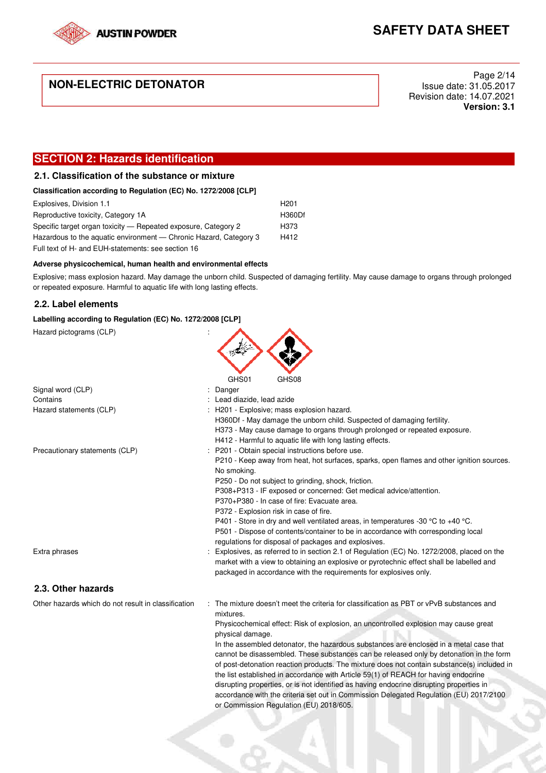

### **NON-ELECTRIC DETONATOR**

Page 2/14 Issue date: 31.05.2017 Revision date: 14.07.2021 **Version: 3.1**

### **SECTION 2: Hazards identification**

### **2.1. Classification of the substance or mixture**

| Classification according to Regulation (EC) No. 1272/2008 [CLP] |  |  |  |
|-----------------------------------------------------------------|--|--|--|

| Explosives, Division 1.1                                          | H <sub>201</sub> |
|-------------------------------------------------------------------|------------------|
| Reproductive toxicity, Category 1A                                | <b>H360Df</b>    |
| Specific target organ toxicity — Repeated exposure, Category 2    | H373             |
| Hazardous to the aquatic environment - Chronic Hazard, Category 3 | H412             |
| Full text of H- and EUH-statements: see section 16                |                  |

#### **Adverse physicochemical, human health and environmental effects**

Explosive; mass explosion hazard. May damage the unborn child. Suspected of damaging fertility. May cause damage to organs through prolonged or repeated exposure. Harmful to aquatic life with long lasting effects.

#### **2.2. Label elements**

#### **Labelling according to Regulation (EC) No. 1272/2008 [CLP]**

Hazard pictograms (CLP) : GHS01 GHS08 Signal word (CLP)  $\qquad \qquad$ : Danger Contains : Lead diazide, lead azide Hazard statements (CLP)  $\qquad \qquad$ : H201 - Explosive: mass explosion hazard. H360Df - May damage the unborn child. Suspected of damaging fertility. H373 - May cause damage to organs through prolonged or repeated exposure. H412 - Harmful to aquatic life with long lasting effects. Precautionary statements (CLP) : P201 - Obtain special instructions before use. P210 - Keep away from heat, hot surfaces, sparks, open flames and other ignition sources. No smoking. P250 - Do not subject to grinding, shock, friction. P308+P313 - IF exposed or concerned: Get medical advice/attention. P370+P380 - In case of fire: Evacuate area. P372 - Explosion risk in case of fire. P401 - Store in dry and well ventilated areas, in temperatures -30 °C to +40 °C. P501 - Dispose of contents/container to be in accordance with corresponding local regulations for disposal of packages and explosives. Extra phrases **in the section of the section** in section 2.1 of Regulation (EC) No. 1272/2008, placed on the market with a view to obtaining an explosive or pyrotechnic effect shall be labelled and packaged in accordance with the requirements for explosives only. **2.3. Other hazards**  Other hazards which do not result in classification : The mixture doesn't meet the criteria for classification as PBT or vPvB substances and mixtures. Physicochemical effect: Risk of explosion, an uncontrolled explosion may cause great physical damage. In the assembled detonator, the hazardous substances are enclosed in a metal case that cannot be disassembled. These substances can be released only by detonation in the form of post-detonation reaction products. The mixture does not contain substance(s) included in the list established in accordance with Article 59(1) of REACH for having endocrine disrupting properties, or is not identified as having endocrine disrupting properties in accordance with the criteria set out in Commission Delegated Regulation (EU) 2017/2100 or Commission Regulation (EU) 2018/605.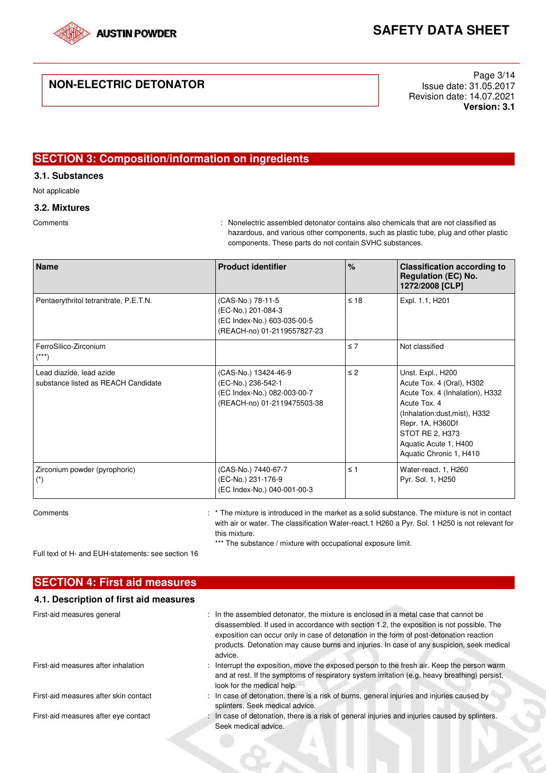

### **NON-ELECTRIC DETONATOR**

Page 3/14 Issue date: 31.05.2017 Revision date: 14.07.2021 **Version: 3.1**

### **SECTION 3: Composition/information on ingredients**

**3.1. Substances** 

Not applicable

### **3.2. Mixtures**

Comments : Nonelectric assembled detonator contains also chemicals that are not classified as hazardous, and various other components, such as plastic tube, plug and other plastic components. These parts do not contain SVHC substances.

| <b>Name</b>                                                     | <b>Product identifier</b>                                                                                | $\frac{6}{6}$ | <b>Classification according to</b><br><b>Regulation (EC) No.</b><br>1272/2008 [CLP]                                                                                                                                           |
|-----------------------------------------------------------------|----------------------------------------------------------------------------------------------------------|---------------|-------------------------------------------------------------------------------------------------------------------------------------------------------------------------------------------------------------------------------|
| Pentaerythritol tetranitrate, P.E.T.N.                          | (CAS-No.) 78-11-5<br>(EC-No.) 201-084-3<br>(EC Index-No.) 603-035-00-5<br>(REACH-no) 01-2119557827-23    | $\leq 18$     | Expl. 1.1, H201                                                                                                                                                                                                               |
| FerroSilico-Zirconium<br>$^{***}$                               |                                                                                                          | $\leq 7$      | Not classified                                                                                                                                                                                                                |
| Lead diazide, lead azide<br>substance listed as REACH Candidate | (CAS-No.) 13424-46-9<br>(EC-No.) 236-542-1<br>(EC Index-No.) 082-003-00-7<br>(REACH-no) 01-2119475503-38 | $\leq$ 2      | Unst. Expl., H200<br>Acute Tox. 4 (Oral), H302<br>Acute Tox. 4 (Inhalation), H332<br>Acute Tox, 4<br>(Inhalation:dust, mist), H332<br>Repr. 1A, H360Df<br>STOT RE 2, H373<br>Aquatic Acute 1, H400<br>Aquatic Chronic 1, H410 |
| Zirconium powder (pyrophoric)<br>$(\dot{a})$                    | (CAS-No.) 7440-67-7<br>(EC-No.) 231-176-9<br>(EC Index-No.) 040-001-00-3                                 | $\leq$ 1      | Water-react. 1, H260<br>Pyr. Sol. 1, H250                                                                                                                                                                                     |

Comments example in the mixture is introduced in the market as a solid substance. The mixture is not in contact with air or water. The classification Water-react.1 H260 a Pyr. Sol. 1 H250 is not relevant for this mixture.

\*\*\* The substance / mixture with occupational exposure limit.

Full text of H- and EUH-statements: see section 16

| <b>SECTION 4: First aid measures</b>   |                                                                                                                                                                                                                                                                                                                                                                                      |
|----------------------------------------|--------------------------------------------------------------------------------------------------------------------------------------------------------------------------------------------------------------------------------------------------------------------------------------------------------------------------------------------------------------------------------------|
| 4.1. Description of first aid measures |                                                                                                                                                                                                                                                                                                                                                                                      |
| First-aid measures general             | : In the assembled detonator, the mixture is enclosed in a metal case that cannot be<br>disassembled. If used in accordance with section 1.2, the exposition is not possible. The<br>exposition can occur only in case of detonation in the form of post-detonation reaction<br>products. Detonation may cause burns and injuries. In case of any suspicion, seek medical<br>advice. |
| First-aid measures after inhalation    | : Interrupt the exposition, move the exposed person to the fresh air. Keep the person warm<br>and at rest. If the symptoms of respiratory system irritation (e.g. heavy breathing) persist,<br>look for the medical help.                                                                                                                                                            |
| First-aid measures after skin contact  | : In case of detonation, there is a risk of burns, general injuries and injuries caused by<br>splinters. Seek medical advice.                                                                                                                                                                                                                                                        |
| First-aid measures after eye contact   | : In case of detonation, there is a risk of general injuries and injuries caused by splinters.<br>Seek medical advice.                                                                                                                                                                                                                                                               |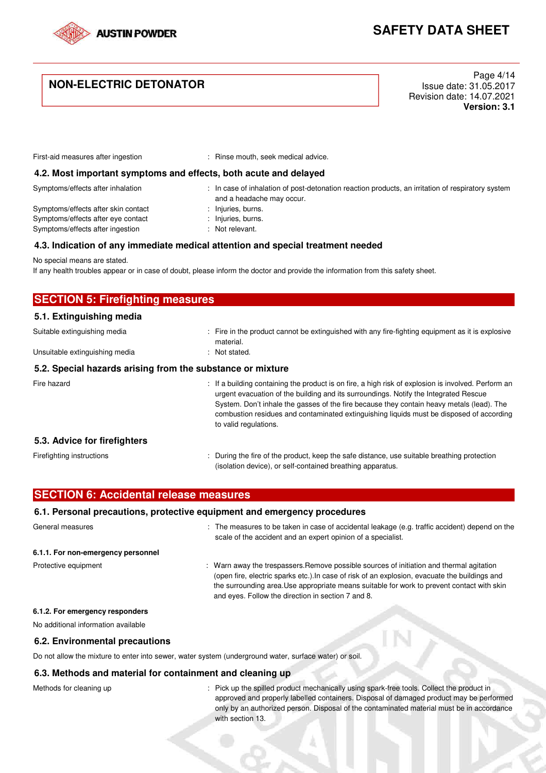

### **NON-ELECTRIC DETONATOR**

Page 4/14 Issue date: 31.05.2017 Revision date: 14.07.2021 **Version: 3.1**

First-aid measures after ingestion : Rinse mouth, seek medical advice.

and a headache may occur.

#### **4.2. Most important symptoms and effects, both acute and delayed**

Symptoms/effects after inhalation : In case of inhalation of post-detonation reaction products, an irritation of respiratory system

Symptoms/effects after skin contact : Injuries, burns. Symptoms/effects after eye contact : Injuries, burns. Symptoms/effects after ingestion : Not relevant.

- 
- -

#### **4.3. Indication of any immediate medical attention and special treatment needed**

No special means are stated.

If any health troubles appear or in case of doubt, please inform the doctor and provide the information from this safety sheet.

| <b>SECTION 5: Firefighting measures</b>                    |                                                                                                                                                                                                                                                                                                                                                                                                               |  |
|------------------------------------------------------------|---------------------------------------------------------------------------------------------------------------------------------------------------------------------------------------------------------------------------------------------------------------------------------------------------------------------------------------------------------------------------------------------------------------|--|
| 5.1. Extinguishing media                                   |                                                                                                                                                                                                                                                                                                                                                                                                               |  |
| Suitable extinguishing media                               | : Fire in the product cannot be extinguished with any fire-fighting equipment as it is explosive<br>material.                                                                                                                                                                                                                                                                                                 |  |
| Unsuitable extinguishing media                             | : Not stated.                                                                                                                                                                                                                                                                                                                                                                                                 |  |
| 5.2. Special hazards arising from the substance or mixture |                                                                                                                                                                                                                                                                                                                                                                                                               |  |
| Fire hazard                                                | : If a building containing the product is on fire, a high risk of explosion is involved. Perform an<br>urgent evacuation of the building and its surroundings. Notify the Integrated Rescue<br>System. Don't inhale the gasses of the fire because they contain heavy metals (lead). The<br>combustion residues and contaminated extinguishing liquids must be disposed of according<br>to valid regulations. |  |
| 5.3. Advice for firefighters                               |                                                                                                                                                                                                                                                                                                                                                                                                               |  |
| Firefighting instructions                                  | : During the fire of the product, keep the safe distance, use suitable breathing protection<br>(isolation device), or self-contained breathing apparatus.                                                                                                                                                                                                                                                     |  |

| <b>SECTION 6: Accidental release measures</b> |  |
|-----------------------------------------------|--|
|-----------------------------------------------|--|

### **6.1. Personal precautions, protective equipment and emergency procedures**

| General measures                    | : The measures to be taken in case of accidental leakage (e.g. traffic accident) depend on the<br>scale of the accident and an expert opinion of a specialist.                                                                                                                                                                                 |
|-------------------------------------|------------------------------------------------------------------------------------------------------------------------------------------------------------------------------------------------------------------------------------------------------------------------------------------------------------------------------------------------|
| 6.1.1. For non-emergency personnel  |                                                                                                                                                                                                                                                                                                                                                |
| Protective equipment                | : Warn away the trespassers. Remove possible sources of initiation and thermal agitation<br>(open fire, electric sparks etc.). In case of risk of an explosion, evacuate the buildings and<br>the surrounding area. Use appropriate means suitable for work to prevent contact with skin<br>and eyes. Follow the direction in section 7 and 8. |
| 6.1.2. For emergency responders     |                                                                                                                                                                                                                                                                                                                                                |
| No additional information available |                                                                                                                                                                                                                                                                                                                                                |
| 6.2. Environmental precautions      |                                                                                                                                                                                                                                                                                                                                                |

Do not allow the mixture to enter into sewer, water system (underground water, surface water) or soil.

#### **6.3. Methods and material for containment and cleaning up**

Methods for cleaning up : Pick up the spilled product mechanically using spark-free tools. Collect the product in approved and properly labelled containers. Disposal of damaged product may be performed only by an authorized person. Disposal of the contaminated material must be in accordance with section 13.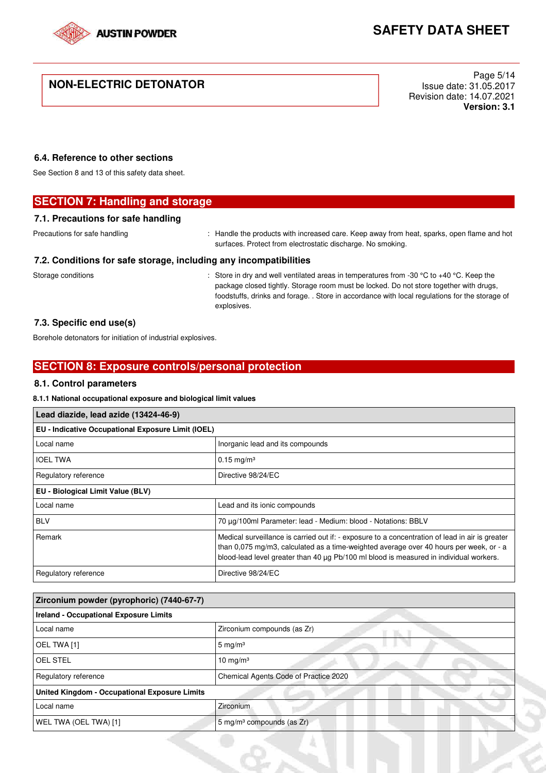

### **NON-ELECTRIC DETONATOR**

Page 5/14 Issue date: 31.05.2017 Revision date: 14.07.2021 **Version: 3.1**

### **6.4. Reference to other sections**

See Section 8 and 13 of this safety data sheet.

### **SECTION 7: Handling and storage**

#### **7.1. Precautions for safe handling**

Precautions for safe handling : Handle the products with increased care. Keep away from heat, sparks, open flame and hot surfaces. Protect from electrostatic discharge. No smoking.

#### **7.2. Conditions for safe storage, including any incompatibilities**

Storage conditions : Store in dry and well ventilated areas in temperatures from -30 °C to +40 °C. Keep the package closed tightly. Storage room must be locked. Do not store together with drugs, foodstuffs, drinks and forage. . Store in accordance with local regulations for the storage of explosives.

#### **7.3. Specific end use(s)**

Borehole detonators for initiation of industrial explosives.

### **SECTION 8: Exposure controls/personal protection**

#### **8.1. Control parameters**

#### **8.1.1 National occupational exposure and biological limit values**

| Lead diazide, lead azide (13424-46-9)<br>EU - Indicative Occupational Exposure Limit (IOEL) |                                                                                                                                                                                                                                                                                     |  |
|---------------------------------------------------------------------------------------------|-------------------------------------------------------------------------------------------------------------------------------------------------------------------------------------------------------------------------------------------------------------------------------------|--|
|                                                                                             |                                                                                                                                                                                                                                                                                     |  |
| <b>IOEL TWA</b>                                                                             | $0.15 \text{ mg/m}^3$                                                                                                                                                                                                                                                               |  |
| Regulatory reference                                                                        | Directive 98/24/EC                                                                                                                                                                                                                                                                  |  |
| EU - Biological Limit Value (BLV)                                                           |                                                                                                                                                                                                                                                                                     |  |
| Local name                                                                                  | Lead and its ionic compounds                                                                                                                                                                                                                                                        |  |
| <b>BLV</b>                                                                                  | 70 ug/100ml Parameter: lead - Medium: blood - Notations: BBLV                                                                                                                                                                                                                       |  |
| Remark                                                                                      | Medical surveillance is carried out if: - exposure to a concentration of lead in air is greater<br>than 0,075 mg/m3, calculated as a time-weighted average over 40 hours per week, or - a<br>blood-lead level greater than 40 µg Pb/100 ml blood is measured in individual workers. |  |
| Regulatory reference                                                                        | Directive 98/24/EC                                                                                                                                                                                                                                                                  |  |

| Zirconium powder (pyrophoric) (7440-67-7)     |                                       |  |
|-----------------------------------------------|---------------------------------------|--|
| <b>Ireland - Occupational Exposure Limits</b> |                                       |  |
| Local name                                    | Zirconium compounds (as Zr)           |  |
| OEL TWA [1]                                   | 5 mg/m $3$                            |  |
| <b>OEL STEL</b>                               | 10 mg/m $3$                           |  |
| Regulatory reference                          | Chemical Agents Code of Practice 2020 |  |
| United Kingdom - Occupational Exposure Limits |                                       |  |
| Local name                                    | Zirconium                             |  |
| WEL TWA (OEL TWA) [1]                         | 5 mg/m <sup>3</sup> compounds (as Zr) |  |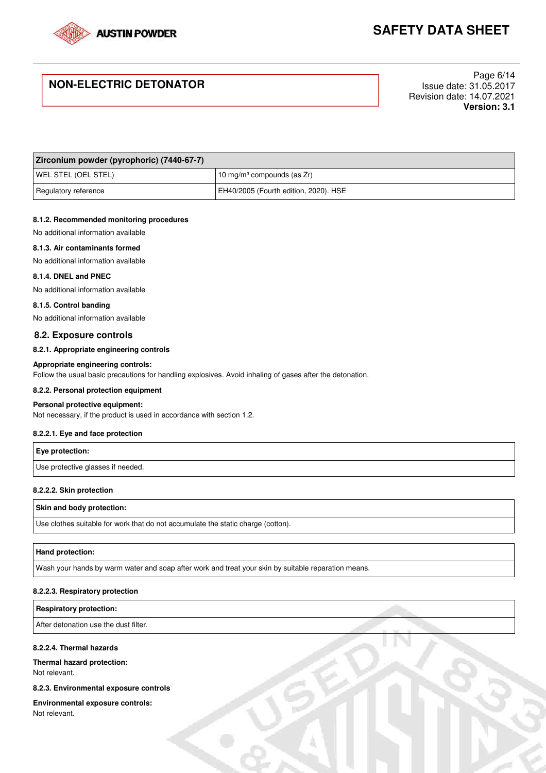

### **NON-ELECTRIC DETONATOR**

Page 6/14 Issue date: 31.05.2017 Revision date: 14.07.2021 **Version: 3.1**

| Zirconium powder (pyrophoric) (7440-67-7) |                                           |
|-------------------------------------------|-------------------------------------------|
| <b>WEL STEL (OEL STEL)</b>                | 10 mg/m <sup>3</sup> compounds (as $Zr$ ) |
| Regulatory reference                      | EH40/2005 (Fourth edition, 2020). HSE     |

#### **8.1.2. Recommended monitoring procedures**

No additional information available

#### **8.1.3. Air contaminants formed**

No additional information available

#### **8.1.4. DNEL and PNEC**

No additional information available

#### **8.1.5. Control banding**

No additional information available

#### **8.2. Exposure controls**

#### **8.2.1. Appropriate engineering controls**

#### **Appropriate engineering controls:**

Follow the usual basic precautions for handling explosives. Avoid inhaling of gases after the detonation.

#### **8.2.2. Personal protection equipment**

#### **Personal protective equipment:**

Not necessary, if the product is used in accordance with section 1.2.

#### **8.2.2.1. Eye and face protection**

| <b>Eye protection:</b>            |  |
|-----------------------------------|--|
| Use protective glasses if needed. |  |

#### **8.2.2.2. Skin protection**

#### **Skin and body protection:**

Use clothes suitable for work that do not accumulate the static charge (cotton).

#### **Hand protection:**

Wash your hands by warm water and soap after work and treat your skin by suitable reparation means.

#### **8.2.2.3. Respiratory protection**

**Respiratory protection:** 

After detonation use the dust filter.

#### **8.2.2.4. Thermal hazards**

#### **Thermal hazard protection:**  Not relevant.

#### **8.2.3. Environmental exposure controls**

**Environmental exposure controls:** 

Not relevant.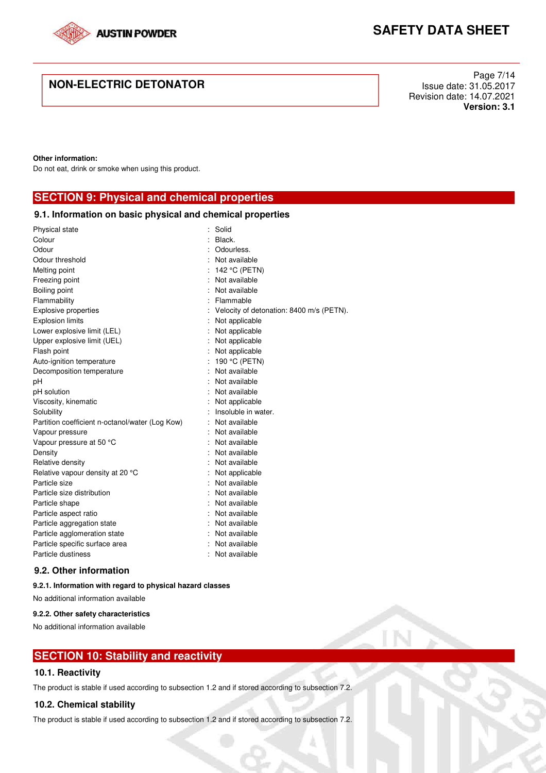

### **NON-ELECTRIC DETONATOR**

Page 7/14 Issue date: 31.05.2017 Revision date: 14.07.2021 **Version: 3.1**

#### **Other information:**

Do not eat, drink or smoke when using this product.

**SECTION 9: Physical and chemical properties** 

| 9.1. Information on basic physical and chemical properties |  |                                          |  |  |  |
|------------------------------------------------------------|--|------------------------------------------|--|--|--|
| Physical state                                             |  | Solid                                    |  |  |  |
| Colour                                                     |  | Black.                                   |  |  |  |
| Odour                                                      |  | Odourless.                               |  |  |  |
| Odour threshold                                            |  | Not available                            |  |  |  |
| Melting point                                              |  | 142 °C (PETN)                            |  |  |  |
| Freezing point                                             |  | Not available                            |  |  |  |
| Boiling point                                              |  | Not available                            |  |  |  |
| Flammability                                               |  | Flammable                                |  |  |  |
| <b>Explosive properties</b>                                |  | Velocity of detonation: 8400 m/s (PETN). |  |  |  |
| <b>Explosion limits</b>                                    |  | Not applicable                           |  |  |  |
| Lower explosive limit (LEL)                                |  | Not applicable                           |  |  |  |
| Upper explosive limit (UEL)                                |  | Not applicable                           |  |  |  |
| Flash point                                                |  | Not applicable                           |  |  |  |
| Auto-ignition temperature                                  |  | 190 °C (PETN)                            |  |  |  |
| Decomposition temperature                                  |  | Not available                            |  |  |  |
| pH                                                         |  | Not available                            |  |  |  |
| pH solution                                                |  | Not available                            |  |  |  |
| Viscosity, kinematic                                       |  | Not applicable                           |  |  |  |
| Solubility                                                 |  | Insoluble in water.                      |  |  |  |
| Partition coefficient n-octanol/water (Log Kow)            |  | Not available                            |  |  |  |
| Vapour pressure                                            |  | Not available                            |  |  |  |
| Vapour pressure at 50 °C                                   |  | Not available                            |  |  |  |
| Density                                                    |  | Not available                            |  |  |  |
| Relative density                                           |  | Not available                            |  |  |  |
| Relative vapour density at 20 °C                           |  | Not applicable                           |  |  |  |
| Particle size                                              |  | Not available                            |  |  |  |
| Particle size distribution                                 |  | Not available                            |  |  |  |
| Particle shape                                             |  | : Not available                          |  |  |  |
| Particle aspect ratio                                      |  | Not available                            |  |  |  |
| Particle aggregation state                                 |  | Not available                            |  |  |  |
| Particle agglomeration state                               |  | Not available                            |  |  |  |
| Particle specific surface area                             |  | Not available                            |  |  |  |
| Particle dustiness                                         |  | Not available                            |  |  |  |

#### **9.2. Other information**

#### **9.2.1. Information with regard to physical hazard classes**

No additional information available

#### **9.2.2. Other safety characteristics**

No additional information available

### **SECTION 10: Stability and reactivity**

#### **10.1. Reactivity**

The product is stable if used according to subsection 1.2 and if stored according to subsection 7.2.

#### **10.2. Chemical stability**

The product is stable if used according to subsection 1.2 and if stored according to subsection 7.2.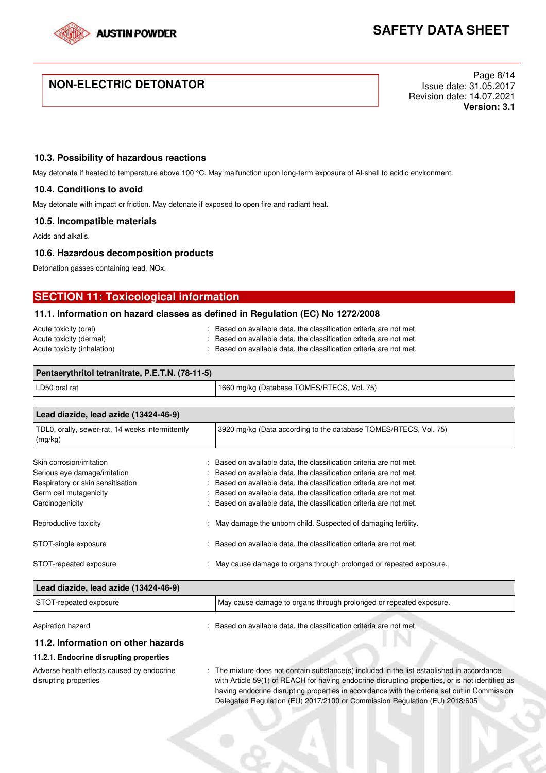

### **NON-ELECTRIC DETONATOR**

Page 8/14 Issue date: 31.05.2017 Revision date: 14.07.2021 **Version: 3.1**

#### **10.3. Possibility of hazardous reactions**

May detonate if heated to temperature above 100 °C. May malfunction upon long-term exposure of Al-shell to acidic environment.

#### **10.4. Conditions to avoid**

May detonate with impact or friction. May detonate if exposed to open fire and radiant heat.

#### **10.5. Incompatible materials**

Acids and alkalis.

#### **10.6. Hazardous decomposition products**

Detonation gasses containing lead, NOx.

### **SECTION 11: Toxicological information**

#### **11.1. Information on hazard classes as defined in Regulation (EC) No 1272/2008**

| Acute toxicity (oral)       | : Based on available data, the classification criteria are not met. |
|-----------------------------|---------------------------------------------------------------------|
| Acute toxicity (dermal)     | : Based on available data, the classification criteria are not met. |
| Acute toxicity (inhalation) | : Based on available data, the classification criteria are not met. |

| Pentaerythritol tetranitrate, P.E.T.N. (78-11-5) |                                            |
|--------------------------------------------------|--------------------------------------------|
| LD50 oral rat                                    | 1660 mg/kg (Database TOMES/RTECS, Vol. 75) |

| Lead diazide, lead azide (13424-46-9)                                                                                                        |                                                                                                                                                                                                                                                                                                                                                         |
|----------------------------------------------------------------------------------------------------------------------------------------------|---------------------------------------------------------------------------------------------------------------------------------------------------------------------------------------------------------------------------------------------------------------------------------------------------------------------------------------------------------|
| TDL0, orally, sewer-rat, 14 weeks intermittently<br>(mg/kg)                                                                                  | 3920 mg/kg (Data according to the database TOMES/RTECS, Vol. 75)                                                                                                                                                                                                                                                                                        |
| Skin corrosion/irritation<br>Serious eye damage/irritation<br>Respiratory or skin sensitisation<br>Germ cell mutagenicity<br>Carcinogenicity | : Based on available data, the classification criteria are not met.<br>Based on available data, the classification criteria are not met.<br>Based on available data, the classification criteria are not met.<br>Based on available data, the classification criteria are not met.<br>Based on available data, the classification criteria are not met. |
| Reproductive toxicity                                                                                                                        | : May damage the unborn child. Suspected of damaging fertility.                                                                                                                                                                                                                                                                                         |
| STOT-single exposure                                                                                                                         | Based on available data, the classification criteria are not met.                                                                                                                                                                                                                                                                                       |
| STOT-repeated exposure                                                                                                                       | : May cause damage to organs through prolonged or repeated exposure.                                                                                                                                                                                                                                                                                    |

| Lead diazide, lead azide (13424-46-9) |                                                                    |
|---------------------------------------|--------------------------------------------------------------------|
| STOT-repeated exposure                | May cause damage to organs through prolonged or repeated exposure. |
| Aspiration hazard                     | Based on available data, the classification criteria are not met.  |

#### **11.2. Information on other hazards**

#### **11.2.1. Endocrine disrupting properties**

Adverse health effects caused by endocrine disrupting properties

: The mixture does not contain substance(s) included in the list established in accordance with Article 59(1) of REACH for having endocrine disrupting properties, or is not identified as having endocrine disrupting properties in accordance with the criteria set out in Commission Delegated Regulation (EU) 2017/2100 or Commission Regulation (EU) 2018/605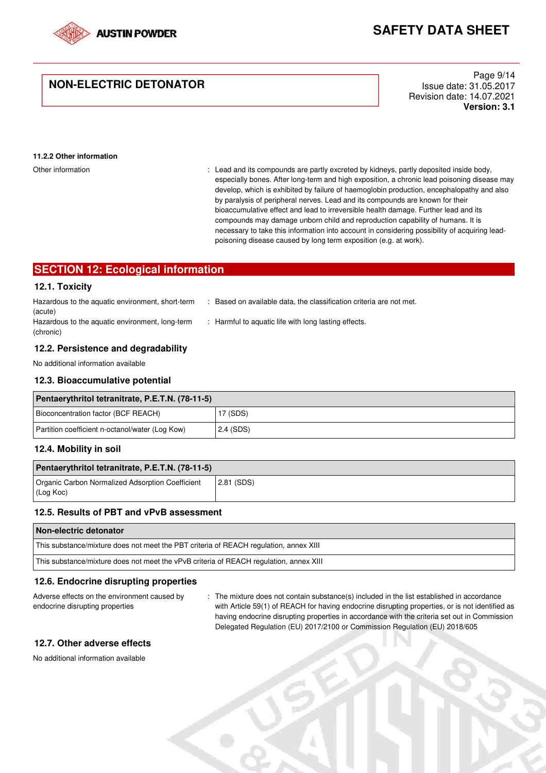

### **NON-ELECTRIC DETONATOR**

Page 9/14 Issue date: 31.05.2017 Revision date: 14.07.2021 **Version: 3.1**

#### **11.2.2 Other information**

Other information excreted by kidneys, partly deposited inside body,  $\blacksquare$ : Lead and its compounds are partly excreted by kidneys, partly deposited inside body, especially bones. After long-term and high exposition, a chronic lead poisoning disease may develop, which is exhibited by failure of haemoglobin production, encephalopathy and also by paralysis of peripheral nerves. Lead and its compounds are known for their bioaccumulative effect and lead to irreversible health damage. Further lead and its compounds may damage unborn child and reproduction capability of humans. It is necessary to take this information into account in considering possibility of acquiring leadpoisoning disease caused by long term exposition (e.g. at work).

### **SECTION 12: Ecological information**

#### **12.1. Toxicity**

(chronic)

| Hazardous to the aquatic environment, short-term | Based on available data, the classification criteria are not met. |
|--------------------------------------------------|-------------------------------------------------------------------|
| (acute)                                          |                                                                   |
| Hazardous to the aquatic environment, long-term  | : Harmful to aquatic life with long lasting effects.              |

#### **12.2. Persistence and degradability**

No additional information available

#### **12.3. Bioaccumulative potential**

| Pentaerythritol tetranitrate, P.E.T.N. (78-11-5) |           |  |
|--------------------------------------------------|-----------|--|
| Bioconcentration factor (BCF REACH)              | 17 (SDS)  |  |
| Partition coefficient n-octanol/water (Log Kow)  | 2.4 (SDS) |  |

#### **12.4. Mobility in soil**

| Pentaerythritol tetranitrate, P.E.T.N. (78-11-5)              |              |  |
|---------------------------------------------------------------|--------------|--|
| Organic Carbon Normalized Adsorption Coefficient<br>(Log Koc) | $2.81$ (SDS) |  |

#### **12.5. Results of PBT and vPvB assessment**

| Non-electric detonator                                                                 |
|----------------------------------------------------------------------------------------|
| This substance/mixture does not meet the PBT criteria of REACH regulation, annex XIII  |
| This substance/mixture does not meet the vPvB criteria of REACH regulation, annex XIII |

#### **12.6. Endocrine disrupting properties**

Adverse effects on the environment caused by endocrine disrupting properties

: The mixture does not contain substance(s) included in the list established in accordance with Article 59(1) of REACH for having endocrine disrupting properties, or is not identified as having endocrine disrupting properties in accordance with the criteria set out in Commission Delegated Regulation (EU) 2017/2100 or Commission Regulation (EU) 2018/605

#### **12.7. Other adverse effects**

No additional information available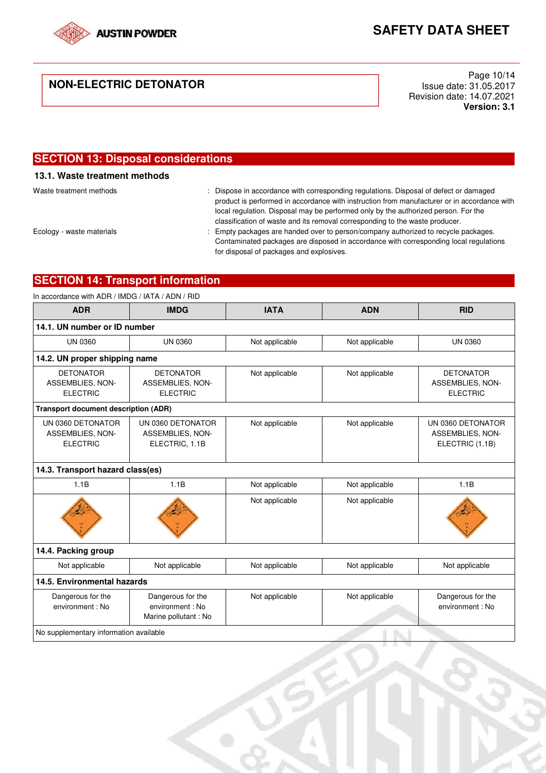

### **NON-ELECTRIC DETONATOR**

Page 10/14 Issue date: 31.05.2017 Revision date: 14.07.2021 **Version: 3.1**

### **SECTION 13: Disposal considerations 13.1. Waste treatment methods**  Waste treatment methods : Dispose in accordance with corresponding regulations. Disposal of defect or damaged product is performed in accordance with instruction from manufacturer or in accordance with local regulation. Disposal may be performed only by the authorized person. For the classification of waste and its removal corresponding to the waste producer. Ecology - waste materials : Empty packages are handed over to person/company authorized to recycle packages. Contaminated packages are disposed in accordance with corresponding local regulations for disposal of packages and explosives.

### **SECTION 14: Transport information**

| <b>ADR</b>                                               | <b>IMDG</b>                                                   | <b>IATA</b>    | <b>ADN</b>     | <b>RID</b>                                               |
|----------------------------------------------------------|---------------------------------------------------------------|----------------|----------------|----------------------------------------------------------|
| 14.1. UN number or ID number                             |                                                               |                |                |                                                          |
| <b>UN 0360</b>                                           | <b>UN 0360</b>                                                | Not applicable | Not applicable | <b>UN 0360</b>                                           |
| 14.2. UN proper shipping name                            |                                                               |                |                |                                                          |
| <b>DETONATOR</b><br>ASSEMBLIES, NON-<br><b>ELECTRIC</b>  | <b>DETONATOR</b><br>ASSEMBLIES, NON-<br><b>ELECTRIC</b>       | Not applicable | Not applicable | <b>DETONATOR</b><br>ASSEMBLIES, NON-<br><b>ELECTRIC</b>  |
| <b>Transport document description (ADR)</b>              |                                                               |                |                |                                                          |
| UN 0360 DETONATOR<br>ASSEMBLIES, NON-<br><b>ELECTRIC</b> | UN 0360 DETONATOR<br>ASSEMBLIES, NON-<br>ELECTRIC, 1.1B       | Not applicable | Not applicable | UN 0360 DETONATOR<br>ASSEMBLIES, NON-<br>ELECTRIC (1.1B) |
| 14.3. Transport hazard class(es)                         |                                                               |                |                |                                                          |
| 1.1B                                                     | 1.1B                                                          | Not applicable | Not applicable | 1.1B                                                     |
|                                                          |                                                               | Not applicable | Not applicable |                                                          |
| 14.4. Packing group                                      |                                                               |                |                |                                                          |
| Not applicable                                           | Not applicable                                                | Not applicable | Not applicable | Not applicable                                           |
| 14.5. Environmental hazards                              |                                                               |                |                |                                                          |
| Dangerous for the<br>environment: No                     | Dangerous for the<br>environment : No<br>Marine pollutant: No | Not applicable | Not applicable | Dangerous for the<br>environment: No                     |
| No supplementary information available                   |                                                               |                |                |                                                          |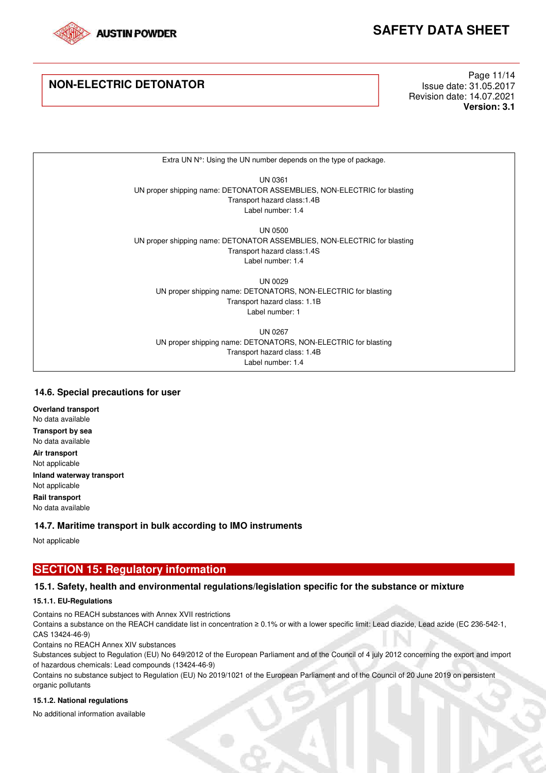

### **NON-ELECTRIC DETONATOR**

Page 11/14 Issue date: 31.05.2017 Revision date: 14.07.2021 **Version: 3.1**

Extra UN N°: Using the UN number depends on the type of package.

UN 0361 UN proper shipping name: DETONATOR ASSEMBLIES, NON-ELECTRIC for blasting Transport hazard class:1.4B Label number: 1.4

UN 0500 UN proper shipping name: DETONATOR ASSEMBLIES, NON-ELECTRIC for blasting Transport hazard class:1.4S Label number: 1.4

UN 0029 UN proper shipping name: DETONATORS, NON-ELECTRIC for blasting Transport hazard class: 1.1B Label number: 1

UN 0267 UN proper shipping name: DETONATORS, NON-ELECTRIC for blasting Transport hazard class: 1.4B Label number: 1.4

#### **14.6. Special precautions for user**

**Overland transport**  No data available **Transport by sea**  No data available **Air transport**  Not applicable **Inland waterway transport**  Not applicable **Rail transport**  No data available

#### **14.7. Maritime transport in bulk according to IMO instruments**

Not applicable

### **SECTION 15: Regulatory information**

### **15.1. Safety, health and environmental regulations/legislation specific for the substance or mixture**

#### **15.1.1. EU-Regulations**

Contains no REACH substances with Annex XVII restrictions

Contains a substance on the REACH candidate list in concentration ≥ 0.1% or with a lower specific limit: Lead diazide, Lead azide (EC 236-542-1, CAS 13424-46-9)

Contains no REACH Annex XIV substances

Substances subject to Regulation (EU) No 649/2012 of the European Parliament and of the Council of 4 july 2012 concerning the export and import of hazardous chemicals: Lead compounds (13424-46-9)

Contains no substance subject to Regulation (EU) No 2019/1021 of the European Parliament and of the Council of 20 June 2019 on persistent organic pollutants

#### **15.1.2. National regulations**

No additional information available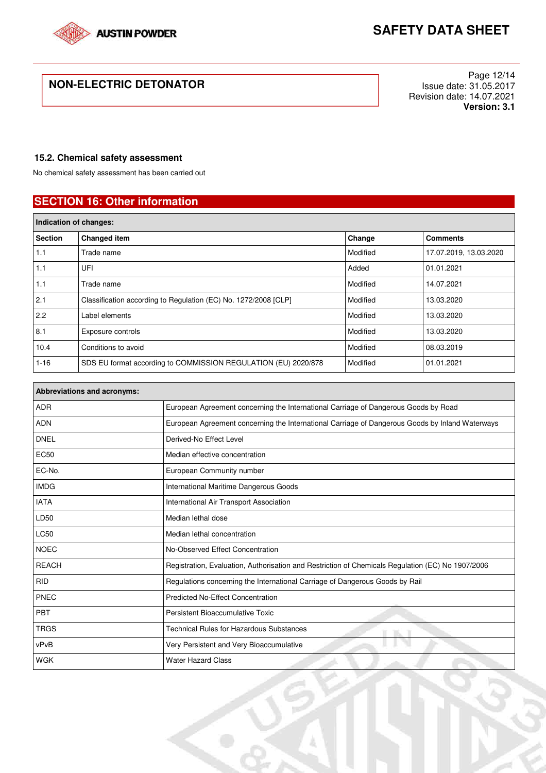

### **NON-ELECTRIC DETONATOR**

Page 12/14 Issue date: 31.05.2017 Revision date: 14.07.2021 **Version: 3.1**

#### **15.2. Chemical safety assessment**

No chemical safety assessment has been carried out

### **SECTION 16: Other information**

| Indication of changes: |                                                                 |          |                        |  |
|------------------------|-----------------------------------------------------------------|----------|------------------------|--|
| <b>Section</b>         | Changed item                                                    | Change   | <b>Comments</b>        |  |
| 1.1                    | Trade name                                                      | Modified | 17.07.2019, 13.03.2020 |  |
| 1.1                    | UFI                                                             | Added    | 01.01.2021             |  |
| 1.1                    | Trade name                                                      | Modified | 14.07.2021             |  |
| 2.1                    | Classification according to Regulation (EC) No. 1272/2008 [CLP] | Modified | 13.03.2020             |  |
| 2.2                    | Label elements                                                  | Modified | 13.03.2020             |  |
| 8.1                    | Exposure controls                                               | Modified | 13.03.2020             |  |
| 10.4                   | Conditions to avoid                                             | Modified | 08.03.2019             |  |
| $1 - 16$               | SDS EU format according to COMMISSION REGULATION (EU) 2020/878  | Modified | 01.01.2021             |  |

| <b>Abbreviations and acronyms:</b> |                                                                                                   |  |  |  |
|------------------------------------|---------------------------------------------------------------------------------------------------|--|--|--|
| <b>ADR</b>                         | European Agreement concerning the International Carriage of Dangerous Goods by Road               |  |  |  |
| <b>ADN</b>                         | European Agreement concerning the International Carriage of Dangerous Goods by Inland Waterways   |  |  |  |
| <b>DNEL</b>                        | Derived-No Effect Level                                                                           |  |  |  |
| <b>EC50</b>                        | Median effective concentration                                                                    |  |  |  |
| EC-No.                             | European Community number                                                                         |  |  |  |
| <b>IMDG</b>                        | International Maritime Dangerous Goods                                                            |  |  |  |
| <b>IATA</b>                        | International Air Transport Association                                                           |  |  |  |
| LD50                               | Median lethal dose                                                                                |  |  |  |
| <b>LC50</b>                        | Median lethal concentration                                                                       |  |  |  |
| <b>NOEC</b>                        | No-Observed Effect Concentration                                                                  |  |  |  |
| <b>REACH</b>                       | Registration, Evaluation, Authorisation and Restriction of Chemicals Regulation (EC) No 1907/2006 |  |  |  |
| <b>RID</b>                         | Regulations concerning the International Carriage of Dangerous Goods by Rail                      |  |  |  |
| PNEC                               | <b>Predicted No-Effect Concentration</b>                                                          |  |  |  |
| PBT                                | Persistent Bioaccumulative Toxic                                                                  |  |  |  |
| <b>TRGS</b>                        | <b>Technical Rules for Hazardous Substances</b>                                                   |  |  |  |
| vPvB                               | Very Persistent and Very Bioaccumulative                                                          |  |  |  |
| <b>WGK</b>                         | <b>Water Hazard Class</b>                                                                         |  |  |  |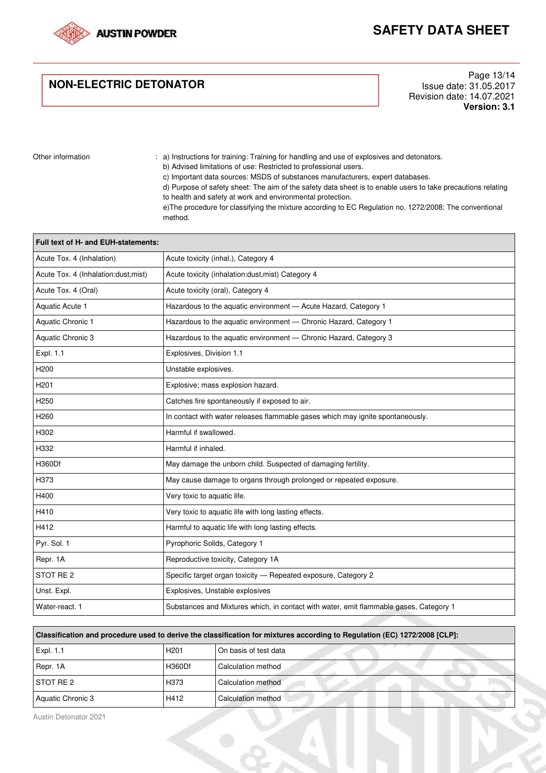

## **NON-ELECTRIC DETONATOR**

Page 13/14 Issue date: 31.05.2017 Revision date: 14.07.2021 **Version: 3.1**

Other information : a) Instructions for training: Training for handling and use of explosives and detonators.

b) Advised limitations of use: Restricted to professional users.

c) Important data sources: MSDS of substances manufacturers, expert databases.

d) Purpose of safety sheet: The aim of the safety data sheet is to enable users to take precautions relating to health and safety at work and environmental protection.

e)The procedure for classifying the mixture according to EC Regulation no. 1272/2008: The conventional method.

| Full text of H- and EUH-statements:  |                                                                                        |  |  |  |  |  |
|--------------------------------------|----------------------------------------------------------------------------------------|--|--|--|--|--|
| Acute Tox. 4 (Inhalation)            | Acute toxicity (inhal.), Category 4                                                    |  |  |  |  |  |
| Acute Tox. 4 (Inhalation:dust, mist) | Acute toxicity (inhalation:dust, mist) Category 4                                      |  |  |  |  |  |
| Acute Tox. 4 (Oral)                  | Acute toxicity (oral), Category 4                                                      |  |  |  |  |  |
| Aquatic Acute 1                      | Hazardous to the aquatic environment - Acute Hazard, Category 1                        |  |  |  |  |  |
| Aquatic Chronic 1                    | Hazardous to the aquatic environment - Chronic Hazard, Category 1                      |  |  |  |  |  |
| Aquatic Chronic 3                    | Hazardous to the aquatic environment - Chronic Hazard, Category 3                      |  |  |  |  |  |
| Expl. 1.1                            | Explosives, Division 1.1                                                               |  |  |  |  |  |
| H <sub>200</sub>                     | Unstable explosives.                                                                   |  |  |  |  |  |
| H <sub>201</sub>                     | Explosive; mass explosion hazard.                                                      |  |  |  |  |  |
| H <sub>250</sub>                     | Catches fire spontaneously if exposed to air.                                          |  |  |  |  |  |
| H <sub>260</sub>                     | In contact with water releases flammable gases which may ignite spontaneously.         |  |  |  |  |  |
| H302                                 | Harmful if swallowed.                                                                  |  |  |  |  |  |
| H332                                 | Harmful if inhaled.                                                                    |  |  |  |  |  |
| H360Df                               | May damage the unborn child. Suspected of damaging fertility.                          |  |  |  |  |  |
| H373                                 | May cause damage to organs through prolonged or repeated exposure.                     |  |  |  |  |  |
| H400                                 | Very toxic to aquatic life.                                                            |  |  |  |  |  |
| H410                                 | Very toxic to aquatic life with long lasting effects.                                  |  |  |  |  |  |
| H412                                 | Harmful to aquatic life with long lasting effects.                                     |  |  |  |  |  |
| Pyr. Sol. 1                          | Pyrophoric Solids, Category 1                                                          |  |  |  |  |  |
| Repr. 1A                             | Reproductive toxicity, Category 1A                                                     |  |  |  |  |  |
| STOT RE <sub>2</sub>                 | Specific target organ toxicity - Repeated exposure, Category 2                         |  |  |  |  |  |
| Unst. Expl.                          | Explosives, Unstable explosives                                                        |  |  |  |  |  |
| Water-react. 1                       | Substances and Mixtures which, in contact with water, emit flammable gases, Category 1 |  |  |  |  |  |

| Classification and procedure used to derive the classification for mixtures according to Regulation (EC) 1272/2008 [CLP]: |                  |                       |  |  |  |
|---------------------------------------------------------------------------------------------------------------------------|------------------|-----------------------|--|--|--|
| <b>Expl. 1.1</b>                                                                                                          | H <sub>201</sub> | On basis of test data |  |  |  |
| Repr. 1A                                                                                                                  | H360Df           | Calculation method    |  |  |  |
| <b>STOT RE 2</b>                                                                                                          | H373             | Calculation method    |  |  |  |
| Aquatic Chronic 3                                                                                                         | H412             | Calculation method    |  |  |  |

Austin Detonator 2021